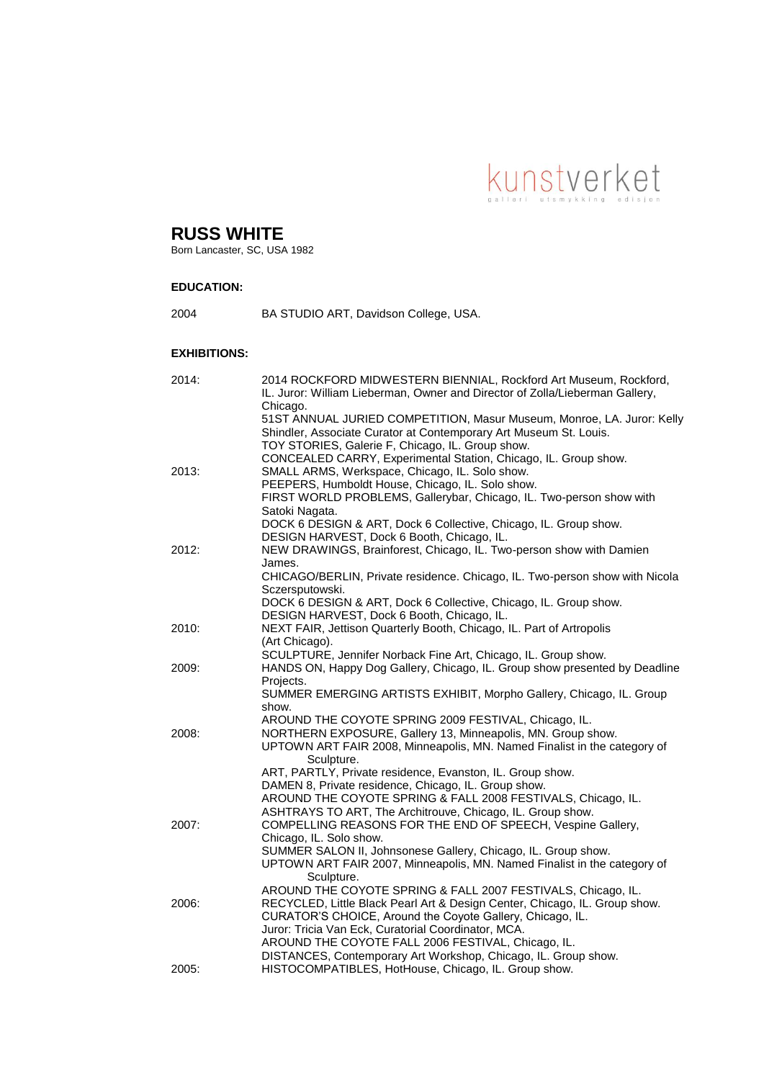

# **RUSS WHITE**

Born Lancaster, SC, USA 1982

## **EDUCATION:**

2004 BA STUDIO ART, Davidson College, USA.

### **EXHIBITIONS:**

| 2014: | 2014 ROCKFORD MIDWESTERN BIENNIAL, Rockford Art Museum, Rockford,<br>IL. Juror: William Lieberman, Owner and Director of Zolla/Lieberman Gallery, |
|-------|---------------------------------------------------------------------------------------------------------------------------------------------------|
|       | Chicago.                                                                                                                                          |
|       | 51ST ANNUAL JURIED COMPETITION, Masur Museum, Monroe, LA. Juror: Kelly                                                                            |
|       | Shindler, Associate Curator at Contemporary Art Museum St. Louis.                                                                                 |
|       | TOY STORIES, Galerie F, Chicago, IL. Group show.<br>CONCEALED CARRY, Experimental Station, Chicago, IL. Group show.                               |
| 2013: | SMALL ARMS, Werkspace, Chicago, IL. Solo show.                                                                                                    |
|       | PEEPERS, Humboldt House, Chicago, IL. Solo show.                                                                                                  |
|       | FIRST WORLD PROBLEMS, Gallerybar, Chicago, IL. Two-person show with                                                                               |
|       | Satoki Nagata.                                                                                                                                    |
|       | DOCK 6 DESIGN & ART, Dock 6 Collective, Chicago, IL. Group show.                                                                                  |
|       | DESIGN HARVEST, Dock 6 Booth, Chicago, IL.                                                                                                        |
| 2012: | NEW DRAWINGS, Brainforest, Chicago, IL. Two-person show with Damien                                                                               |
|       | James.                                                                                                                                            |
|       | CHICAGO/BERLIN, Private residence. Chicago, IL. Two-person show with Nicola                                                                       |
|       | Sczersputowski.                                                                                                                                   |
|       | DOCK 6 DESIGN & ART, Dock 6 Collective, Chicago, IL. Group show.                                                                                  |
|       | DESIGN HARVEST, Dock 6 Booth, Chicago, IL.                                                                                                        |
| 2010: | NEXT FAIR, Jettison Quarterly Booth, Chicago, IL. Part of Artropolis<br>(Art Chicago).                                                            |
|       | SCULPTURE, Jennifer Norback Fine Art, Chicago, IL. Group show.                                                                                    |
| 2009: | HANDS ON, Happy Dog Gallery, Chicago, IL. Group show presented by Deadline                                                                        |
|       | Projects.                                                                                                                                         |
|       | SUMMER EMERGING ARTISTS EXHIBIT, Morpho Gallery, Chicago, IL. Group                                                                               |
|       | show.                                                                                                                                             |
|       | AROUND THE COYOTE SPRING 2009 FESTIVAL, Chicago, IL.                                                                                              |
| 2008: | NORTHERN EXPOSURE, Gallery 13, Minneapolis, MN. Group show.                                                                                       |
|       | UPTOWN ART FAIR 2008, Minneapolis, MN. Named Finalist in the category of                                                                          |
|       | Sculpture.                                                                                                                                        |
|       | ART, PARTLY, Private residence, Evanston, IL. Group show.<br>DAMEN 8, Private residence, Chicago, IL. Group show.                                 |
|       | AROUND THE COYOTE SPRING & FALL 2008 FESTIVALS, Chicago, IL.                                                                                      |
|       | ASHTRAYS TO ART, The Architrouve, Chicago, IL. Group show.                                                                                        |
| 2007: | COMPELLING REASONS FOR THE END OF SPEECH, Vespine Gallery,                                                                                        |
|       | Chicago, IL. Solo show.                                                                                                                           |
|       | SUMMER SALON II, Johnsonese Gallery, Chicago, IL. Group show.                                                                                     |
|       | UPTOWN ART FAIR 2007, Minneapolis, MN. Named Finalist in the category of                                                                          |
|       | Sculpture.                                                                                                                                        |
|       | AROUND THE COYOTE SPRING & FALL 2007 FESTIVALS, Chicago, IL.                                                                                      |
| 2006: | RECYCLED, Little Black Pearl Art & Design Center, Chicago, IL. Group show.                                                                        |
|       | CURATOR'S CHOICE, Around the Coyote Gallery, Chicago, IL.                                                                                         |
|       | Juror: Tricia Van Eck, Curatorial Coordinator, MCA.                                                                                               |
|       | AROUND THE COYOTE FALL 2006 FESTIVAL, Chicago, IL.<br>DISTANCES, Contemporary Art Workshop, Chicago, IL. Group show.                              |
| 2005: | HISTOCOMPATIBLES, HotHouse, Chicago, IL. Group show.                                                                                              |
|       |                                                                                                                                                   |